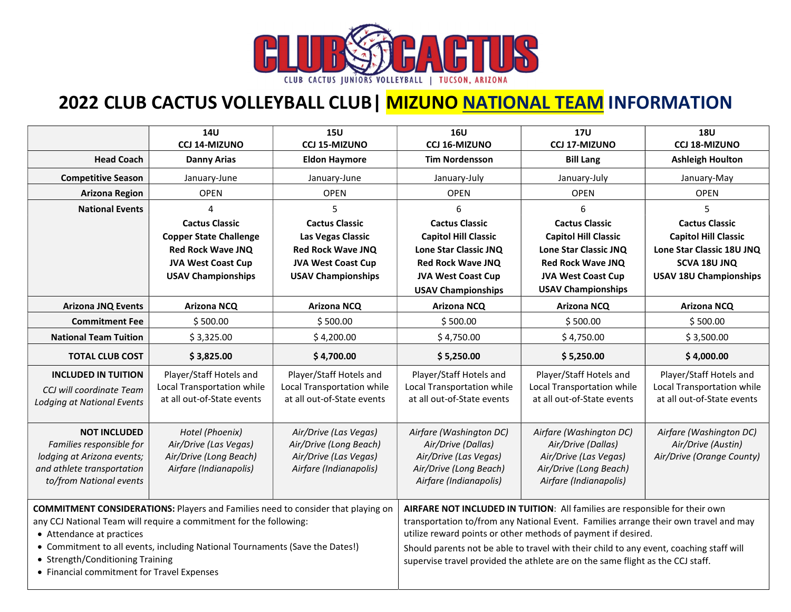

## 2022 CLUB CACTUS VOLLEYBALL CLUB | MIZUNO NATIONAL TEAM INFORMATION

|                                                                                                                                                                                                                                                                                                                                                              | <b>14U</b><br><b>CCJ 14-MIZUNO</b>                                                           | <b>15U</b><br><b>CCJ 15-MIZUNO</b>                                                                 | <b>16U</b><br><b>CCJ 16-MIZUNO</b>                                                                                                                                                                                                                                                                                                                                                                                | <b>17U</b><br><b>CCJ 17-MIZUNO</b>                                                                                         | <b>18U</b><br><b>CCJ 18-MIZUNO</b>                                                  |
|--------------------------------------------------------------------------------------------------------------------------------------------------------------------------------------------------------------------------------------------------------------------------------------------------------------------------------------------------------------|----------------------------------------------------------------------------------------------|----------------------------------------------------------------------------------------------------|-------------------------------------------------------------------------------------------------------------------------------------------------------------------------------------------------------------------------------------------------------------------------------------------------------------------------------------------------------------------------------------------------------------------|----------------------------------------------------------------------------------------------------------------------------|-------------------------------------------------------------------------------------|
| <b>Head Coach</b>                                                                                                                                                                                                                                                                                                                                            | <b>Danny Arias</b>                                                                           | <b>Eldon Haymore</b>                                                                               | <b>Tim Nordensson</b>                                                                                                                                                                                                                                                                                                                                                                                             | <b>Bill Lang</b>                                                                                                           | <b>Ashleigh Houlton</b>                                                             |
| <b>Competitive Season</b>                                                                                                                                                                                                                                                                                                                                    | January-June                                                                                 | January-June                                                                                       | January-July                                                                                                                                                                                                                                                                                                                                                                                                      | January-July                                                                                                               | January-May                                                                         |
| <b>Arizona Region</b>                                                                                                                                                                                                                                                                                                                                        | <b>OPEN</b>                                                                                  | <b>OPEN</b>                                                                                        | <b>OPEN</b>                                                                                                                                                                                                                                                                                                                                                                                                       | <b>OPEN</b>                                                                                                                | <b>OPEN</b>                                                                         |
| <b>National Events</b>                                                                                                                                                                                                                                                                                                                                       | 4                                                                                            | 5                                                                                                  | 6                                                                                                                                                                                                                                                                                                                                                                                                                 | 6                                                                                                                          | 5                                                                                   |
|                                                                                                                                                                                                                                                                                                                                                              | <b>Cactus Classic</b>                                                                        | <b>Cactus Classic</b>                                                                              | <b>Cactus Classic</b>                                                                                                                                                                                                                                                                                                                                                                                             | <b>Cactus Classic</b>                                                                                                      | <b>Cactus Classic</b>                                                               |
|                                                                                                                                                                                                                                                                                                                                                              | <b>Copper State Challenge</b><br><b>Red Rock Wave JNQ</b>                                    | Las Vegas Classic<br><b>Red Rock Wave JNQ</b>                                                      | <b>Capitol Hill Classic</b><br>Lone Star Classic JNQ                                                                                                                                                                                                                                                                                                                                                              | <b>Capitol Hill Classic</b><br>Lone Star Classic JNQ                                                                       | <b>Capitol Hill Classic</b><br>Lone Star Classic 18U JNQ                            |
|                                                                                                                                                                                                                                                                                                                                                              | <b>JVA West Coast Cup</b>                                                                    | <b>JVA West Coast Cup</b>                                                                          | <b>Red Rock Wave JNQ</b>                                                                                                                                                                                                                                                                                                                                                                                          | <b>Red Rock Wave JNQ</b>                                                                                                   | SCVA 18U JNQ                                                                        |
|                                                                                                                                                                                                                                                                                                                                                              | <b>USAV Championships</b>                                                                    | <b>USAV Championships</b>                                                                          | <b>JVA West Coast Cup</b>                                                                                                                                                                                                                                                                                                                                                                                         | <b>JVA West Coast Cup</b>                                                                                                  | <b>USAV 18U Championships</b>                                                       |
|                                                                                                                                                                                                                                                                                                                                                              |                                                                                              |                                                                                                    | <b>USAV Championships</b>                                                                                                                                                                                                                                                                                                                                                                                         | <b>USAV Championships</b>                                                                                                  |                                                                                     |
| <b>Arizona JNQ Events</b>                                                                                                                                                                                                                                                                                                                                    | <b>Arizona NCQ</b>                                                                           | <b>Arizona NCQ</b>                                                                                 | <b>Arizona NCQ</b>                                                                                                                                                                                                                                                                                                                                                                                                | <b>Arizona NCQ</b>                                                                                                         | <b>Arizona NCQ</b>                                                                  |
| <b>Commitment Fee</b>                                                                                                                                                                                                                                                                                                                                        | \$500.00                                                                                     | \$500.00                                                                                           | \$500.00                                                                                                                                                                                                                                                                                                                                                                                                          | \$500.00                                                                                                                   | \$500.00                                                                            |
| <b>National Team Tuition</b>                                                                                                                                                                                                                                                                                                                                 | \$3,325.00                                                                                   | \$4,200.00                                                                                         | \$4,750.00                                                                                                                                                                                                                                                                                                                                                                                                        | \$4,750.00                                                                                                                 | \$3,500.00                                                                          |
| <b>TOTAL CLUB COST</b>                                                                                                                                                                                                                                                                                                                                       | \$3,825.00                                                                                   | \$4,700.00                                                                                         | \$5,250.00                                                                                                                                                                                                                                                                                                                                                                                                        | \$5,250.00                                                                                                                 | \$4,000.00                                                                          |
| <b>INCLUDED IN TUITION</b><br>CCJ will coordinate Team<br><b>Lodging at National Events</b>                                                                                                                                                                                                                                                                  | Player/Staff Hotels and<br>Local Transportation while<br>at all out-of-State events          | Player/Staff Hotels and<br>Local Transportation while<br>at all out-of-State events                | Player/Staff Hotels and<br>Local Transportation while<br>at all out-of-State events                                                                                                                                                                                                                                                                                                                               | Player/Staff Hotels and<br>Local Transportation while<br>at all out-of-State events                                        | Player/Staff Hotels and<br>Local Transportation while<br>at all out-of-State events |
| <b>NOT INCLUDED</b><br>Families responsible for<br>lodging at Arizona events;<br>and athlete transportation<br>to/from National events                                                                                                                                                                                                                       | Hotel (Phoenix)<br>Air/Drive (Las Vegas)<br>Air/Drive (Long Beach)<br>Airfare (Indianapolis) | Air/Drive (Las Vegas)<br>Air/Drive (Long Beach)<br>Air/Drive (Las Vegas)<br>Airfare (Indianapolis) | Airfare (Washington DC)<br>Air/Drive (Dallas)<br>Air/Drive (Las Vegas)<br>Air/Drive (Long Beach)<br>Airfare (Indianapolis)                                                                                                                                                                                                                                                                                        | Airfare (Washington DC)<br>Air/Drive (Dallas)<br>Air/Drive (Las Vegas)<br>Air/Drive (Long Beach)<br>Airfare (Indianapolis) | Airfare (Washington DC)<br>Air/Drive (Austin)<br>Air/Drive (Orange County)          |
| <b>COMMITMENT CONSIDERATIONS: Players and Families need to consider that playing on</b><br>any CCJ National Team will require a commitment for the following:<br>• Attendance at practices<br>• Commitment to all events, including National Tournaments (Save the Dates!)<br>• Strength/Conditioning Training<br>• Financial commitment for Travel Expenses |                                                                                              |                                                                                                    | AIRFARE NOT INCLUDED IN TUITION: All families are responsible for their own<br>transportation to/from any National Event. Families arrange their own travel and may<br>utilize reward points or other methods of payment if desired.<br>Should parents not be able to travel with their child to any event, coaching staff will<br>supervise travel provided the athlete are on the same flight as the CCJ staff. |                                                                                                                            |                                                                                     |